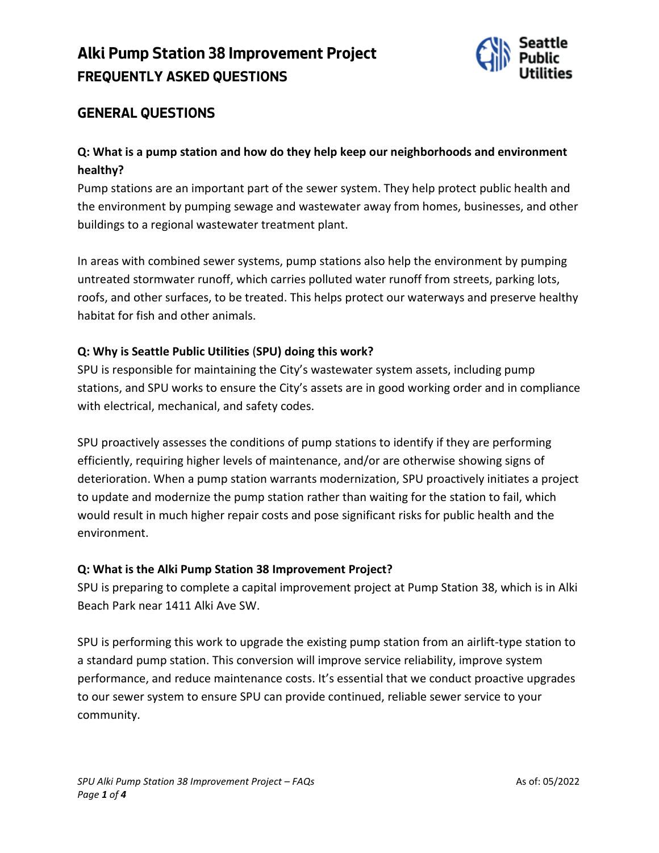# **Alki Pump Station 38 Improvement Project FREQUENTLY ASKED QUESTIONS**



## **GENERAL QUESTIONS**

## **Q: What is a pump station and how do they help keep our neighborhoods and environment healthy?**

Pump stations are an important part of the sewer system. They help protect public health and the environment by pumping sewage and wastewater away from homes, businesses, and other buildings to a regional wastewater treatment plant.

In areas with combined sewer systems, pump stations also help the environment by pumping untreated stormwater runoff, which carries polluted water runoff from streets, parking lots, roofs, and other surfaces, to be treated. This helps protect our waterways and preserve healthy habitat for fish and other animals.

#### **Q: Why is Seattle Public Utilities** (**SPU) doing this work?**

SPU is responsible for maintaining the City's wastewater system assets, including pump stations, and SPU works to ensure the City's assets are in good working order and in compliance with electrical, mechanical, and safety codes.

SPU proactively assesses the conditions of pump stations to identify if they are performing efficiently, requiring higher levels of maintenance, and/or are otherwise showing signs of deterioration. When a pump station warrants modernization, SPU proactively initiates a project to update and modernize the pump station rather than waiting for the station to fail, which would result in much higher repair costs and pose significant risks for public health and the environment.

#### **Q: What is the Alki Pump Station 38 Improvement Project?**

SPU is preparing to complete a capital improvement project at Pump Station 38, which is in Alki Beach Park near 1411 Alki Ave SW.

SPU is performing this work to upgrade the existing pump station from an airlift-type station to a standard pump station. This conversion will improve service reliability, improve system performance, and reduce maintenance costs. It's essential that we conduct proactive upgrades to our sewer system to ensure SPU can provide continued, reliable sewer service to your community.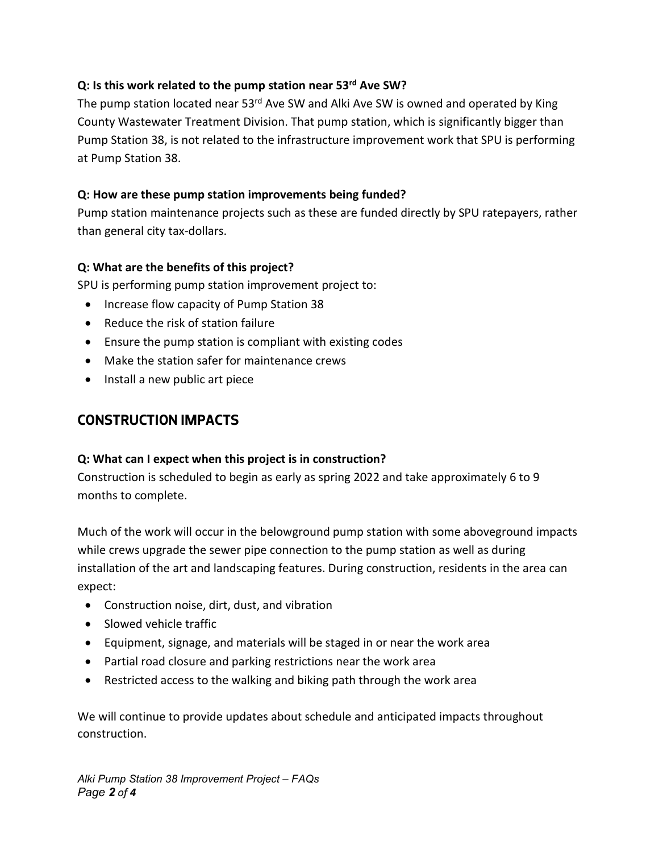#### **Q: Is this work related to the pump station near 53rd Ave SW?**

The pump station located near 53<sup>rd</sup> Ave SW and Alki Ave SW is owned and operated by King County Wastewater Treatment Division. That pump station, which is significantly bigger than Pump Station 38, is not related to the infrastructure improvement work that SPU is performing at Pump Station 38.

#### **Q: How are these pump station improvements being funded?**

Pump station maintenance projects such as these are funded directly by SPU ratepayers, rather than general city tax-dollars.

#### **Q: What are the benefits of this project?**

SPU is performing pump station improvement project to:

- Increase flow capacity of Pump Station 38
- Reduce the risk of station failure
- Ensure the pump station is compliant with existing codes
- Make the station safer for maintenance crews
- Install a new public art piece

## **CONSTRUCTION IMPACTS**

#### **Q: What can I expect when this project is in construction?**

Construction is scheduled to begin as early as spring 2022 and take approximately 6 to 9 months to complete.

Much of the work will occur in the belowground pump station with some aboveground impacts while crews upgrade the sewer pipe connection to the pump station as well as during installation of the art and landscaping features. During construction, residents in the area can expect:

- Construction noise, dirt, dust, and vibration
- Slowed vehicle traffic
- Equipment, signage, and materials will be staged in or near the work area
- Partial road closure and parking restrictions near the work area
- Restricted access to the walking and biking path through the work area

We will continue to provide updates about schedule and anticipated impacts throughout construction.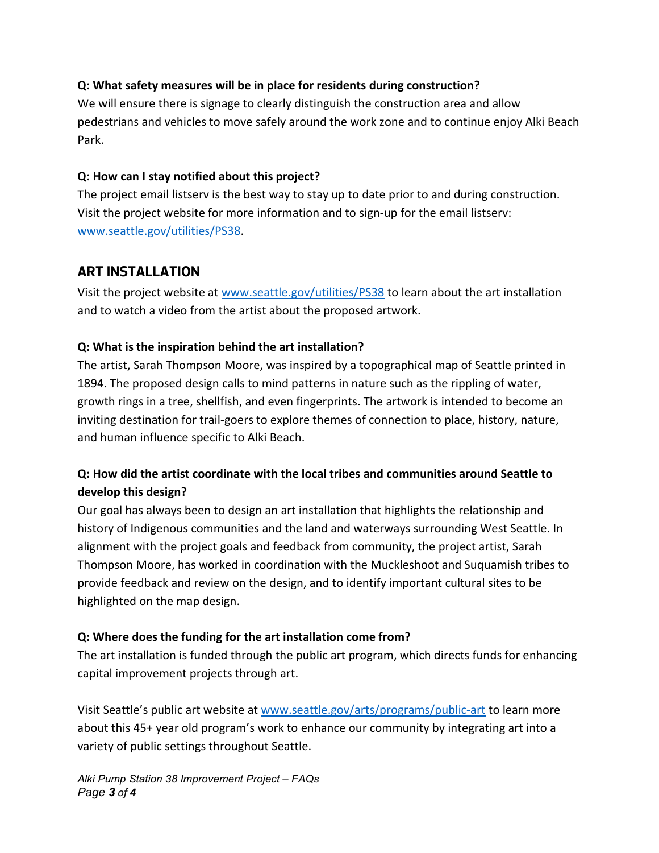#### **Q: What safety measures will be in place for residents during construction?**

We will ensure there is signage to clearly distinguish the construction area and allow pedestrians and vehicles to move safely around the work zone and to continue enjoy Alki Beach Park.

#### **Q: How can I stay notified about this project?**

The project email listserv is the best way to stay up to date prior to and during construction. Visit the project website for more information and to sign-up for the email listserv: [www.seattle.gov/utilities/PS38.](http://www.seattle.gov/utilities/PS38)

## **ART INSTALLATION**

Visit the project website at [www.seattle.gov/utilities/PS38](http://www.seattle.gov/utilities/PS38) to learn about the art installation and to watch a video from the artist about the proposed artwork.

### **Q: What is the inspiration behind the art installation?**

The artist, Sarah Thompson Moore, was inspired by a topographical map of Seattle printed in 1894. The proposed design calls to mind patterns in nature such as the rippling of water, growth rings in a tree, shellfish, and even fingerprints. The artwork is intended to become an inviting destination for trail-goers to explore themes of connection to place, history, nature, and human influence specific to Alki Beach.

## **Q: How did the artist coordinate with the local tribes and communities around Seattle to develop this design?**

Our goal has always been to design an art installation that highlights the relationship and history of Indigenous communities and the land and waterways surrounding West Seattle. In alignment with the project goals and feedback from community, the project artist, Sarah Thompson Moore, has worked in coordination with the Muckleshoot and Suquamish tribes to provide feedback and review on the design, and to identify important cultural sites to be highlighted on the map design.

### **Q: Where does the funding for the art installation come from?**

The art installation is funded through the public art program, which directs funds for enhancing capital improvement projects through art.

Visit Seattle's public art website at [www.seattle.gov/arts/programs/public-art](http://www.seattle.gov/arts/programs/public-art) to learn more about this 45+ year old program's work to enhance our community by integrating art into a variety of public settings throughout Seattle.